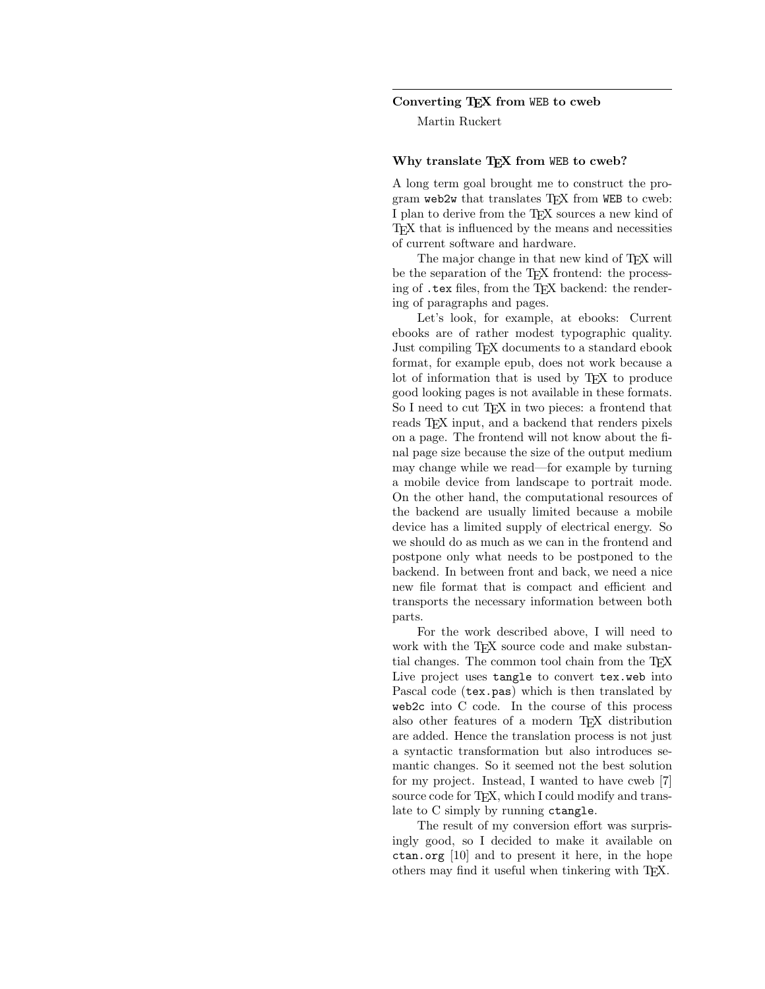## Converting TEX from WEB to cweb

Martin Ruckert

## Why translate T<sub>F</sub>X from WEB to cweb?

A long term goal brought me to construct the program web2w that translates TEX from WEB to cweb: I plan to derive from the TEX sources a new kind of TEX that is influenced by the means and necessities of current software and hardware.

The major change in that new kind of T<sub>E</sub>X will be the separation of the T<sub>E</sub>X frontend: the processing of .tex files, from the TEX backend: the rendering of paragraphs and pages.

Let's look, for example, at ebooks: Current ebooks are of rather modest typographic quality. Just compiling TEX documents to a standard ebook format, for example epub, does not work because a lot of information that is used by TEX to produce good looking pages is not available in these formats. So I need to cut T<sub>F</sub>X in two pieces: a frontend that reads T<sub>F</sub>X input, and a backend that renders pixels on a page. The frontend will not know about the final page size because the size of the output medium may change while we read—for example by turning a mobile device from landscape to portrait mode. On the other hand, the computational resources of the backend are usually limited because a mobile device has a limited supply of electrical energy. So we should do as much as we can in the frontend and postpone only what needs to be postponed to the backend. In between front and back, we need a nice new file format that is compact and efficient and transports the necessary information between both parts.

For the work described above, I will need to work with the T<sub>FX</sub> source code and make substantial changes. The common tool chain from the TEX Live project uses tangle to convert tex.web into Pascal code (tex.pas) which is then translated by web2c into C code. In the course of this process also other features of a modern TEX distribution are added. Hence the translation process is not just a syntactic transformation but also introduces semantic changes. So it seemed not the best solution for my project. Instead, I wanted to have cweb [7] source code for T<sub>E</sub>X, which I could modify and translate to C simply by running ctangle.

The result of my conversion effort was surprisingly good, so I decided to make it available on ctan.org [10] and to present it here, in the hope others may find it useful when tinkering with TEX.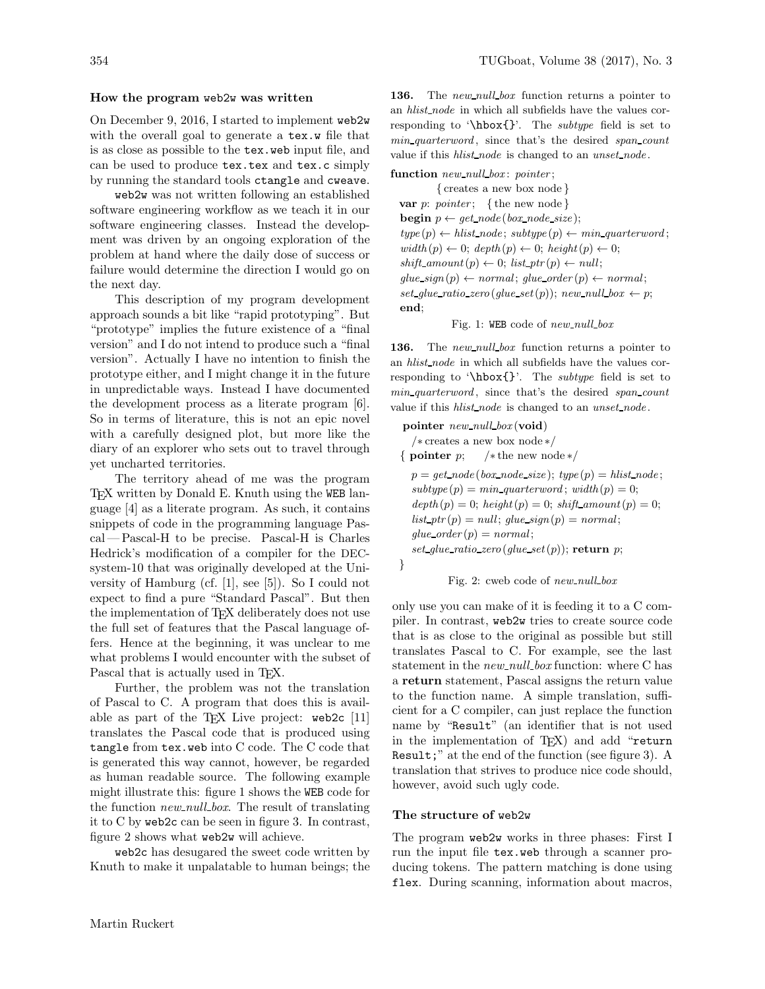#### How the program web2w was written

On December 9, 2016, I started to implement web2w with the overall goal to generate a tex.w file that is as close as possible to the tex.web input file, and can be used to produce tex.tex and tex.c simply by running the standard tools ctangle and cweave.

web2w was not written following an established software engineering workflow as we teach it in our software engineering classes. Instead the development was driven by an ongoing exploration of the problem at hand where the daily dose of success or failure would determine the direction I would go on the next day.

This description of my program development approach sounds a bit like "rapid prototyping". But "prototype" implies the future existence of a "final version" and I do not intend to produce such a "final version". Actually I have no intention to finish the prototype either, and I might change it in the future in unpredictable ways. Instead I have documented the development process as a literate program [6]. So in terms of literature, this is not an epic novel with a carefully designed plot, but more like the diary of an explorer who sets out to travel through yet uncharted territories.

The territory ahead of me was the program T<sub>EX</sub> written by Donald E. Knuth using the WEB language [4] as a literate program. As such, it contains snippets of code in the programming language Pascal — Pascal-H to be precise. Pascal-H is Charles Hedrick's modification of a compiler for the DECsystem-10 that was originally developed at the University of Hamburg (cf. [1], see [5]). So I could not expect to find a pure "Standard Pascal". But then the implementation of T<sub>F</sub>X deliberately does not use the full set of features that the Pascal language offers. Hence at the beginning, it was unclear to me what problems I would encounter with the subset of Pascal that is actually used in T<sub>EX</sub>.

Further, the problem was not the translation of Pascal to C. A program that does this is available as part of the TFX Live project:  $\text{web2c}$  [11] translates the Pascal code that is produced using tangle from tex.web into C code. The C code that is generated this way cannot, however, be regarded as human readable source. The following example might illustrate this: figure 1 shows the WEB code for the function *new\_null\_box*. The result of translating it to C by web2c can be seen in figure 3. In contrast, figure 2 shows what web2w will achieve.

web2c has desugared the sweet code written by Knuth to make it unpalatable to human beings; the 136. The new null box function returns a pointer to an hlist node in which all subfields have the values corresponding to '\hbox{}'. The subtype field is set to min quarterword, since that's the desired span count value if this *hlist\_node* is changed to an *unset\_node*.

function  $new\_null\_box$ : pointer;

{ creates a new box node } var p: pointer; { the new node } **begin**  $p \leftarrow get\_node(box\_node\_size);$  $type (p) \leftarrow \textit{hlist\_node}; \textit{subtype} (p) \leftarrow \textit{min\_quarterword};$  $width(p) \leftarrow 0; depth(p) \leftarrow 0; height(p) \leftarrow 0;$  $shift\_amount(p) \leftarrow 0; list\_ptr(p) \leftarrow null;$  $glue\_sign(p) \leftarrow normal; glue\_order(p) \leftarrow normal;$ set\_qlue\_ratio\_zero(qlue\_set(p)); new\_null\_box  $\leftarrow$  p; end;

Fig. 1: WEB code of  $new\_null\_box$ 

136. The new null box function returns a pointer to an hlist node in which all subfields have the values corresponding to '\hbox{}'. The *subtype* field is set to min quarterword, since that's the desired span count value if this *hlist\_node* is changed to an *unset\_node*.

pointer  $new\_null\_box$  (void) /\* creates a new box node \*/<br>{ **pointer**  $p$ ; /\* the new node  $/*$  the new node  $*/$  $p = get\_node(box\_node\_size); type(p) = hlist\_node;$  $subtype(p) = min\_quarterword$ ;  $width(p) = 0$ ;  $depth (p) = 0; height (p) = 0; shift\_amount (p) = 0;$  $list\_ptr(p) = null;$  glue\_sign(p) = normal;  $glue\_{order}(p) = normal;$ set glue ratio zero (glue set  $(p)$ ); return p; }

Fig. 2: cweb code of  $new\_null\_box$ 

only use you can make of it is feeding it to a C compiler. In contrast, web2w tries to create source code that is as close to the original as possible but still translates Pascal to C. For example, see the last statement in the  $new\_null\_box$  function: where C has a return statement, Pascal assigns the return value to the function name. A simple translation, sufficient for a C compiler, can just replace the function name by "Result" (an identifier that is not used in the implementation of TFX) and add "return Result;" at the end of the function (see figure 3). A translation that strives to produce nice code should, however, avoid such ugly code.

## The structure of web2w

The program web2w works in three phases: First I run the input file tex.web through a scanner producing tokens. The pattern matching is done using flex. During scanning, information about macros,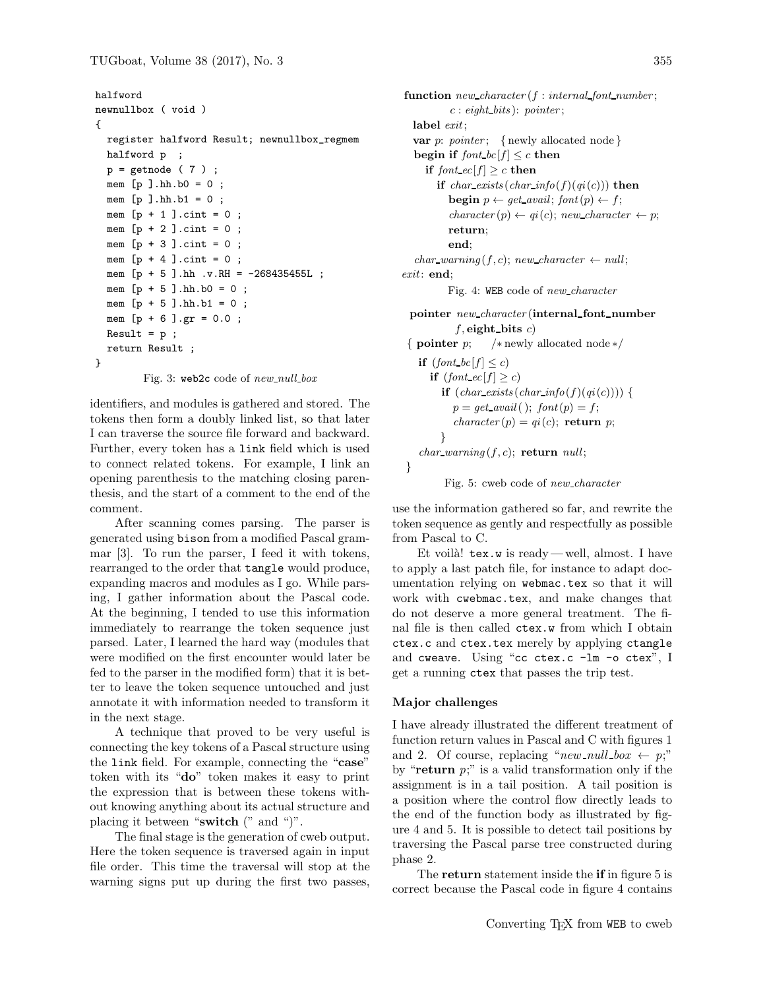```
halfword
newnullbox ( void )
{
  register halfword Result; newnullbox_regmem
  halfword p ;
  p = getnode (7);
  mem [p].hh.b0 = 0;
  mem [p].hh.b1 = 0;
  mem [p + 1].cint = 0;
  mem [p + 2] . \text{cint} = 0;
 mem [p + 3].cint = 0;
  mem [p + 4] . cint = 0;
  mem [p + 5 ].hh .v.RH = -268435455L ;
  mem [p + 5].hh.b0 = 0;
  mem [p + 5 ].hh.b1 = 0 ;
  mem [p + 6] . gr = 0.0;
  Result = p ;
  return Result ;
}
```
Fig. 3: web2c code of  $new\_null\_box$ 

identifiers, and modules is gathered and stored. The tokens then form a doubly linked list, so that later I can traverse the source file forward and backward. Further, every token has a link field which is used to connect related tokens. For example, I link an opening parenthesis to the matching closing parenthesis, and the start of a comment to the end of the comment.

After scanning comes parsing. The parser is generated using bison from a modified Pascal grammar [3]. To run the parser, I feed it with tokens, rearranged to the order that tangle would produce, expanding macros and modules as I go. While parsing, I gather information about the Pascal code. At the beginning, I tended to use this information immediately to rearrange the token sequence just parsed. Later, I learned the hard way (modules that were modified on the first encounter would later be fed to the parser in the modified form) that it is better to leave the token sequence untouched and just annotate it with information needed to transform it in the next stage.

A technique that proved to be very useful is connecting the key tokens of a Pascal structure using the link field. For example, connecting the "case" token with its "do" token makes it easy to print the expression that is between these tokens without knowing anything about its actual structure and placing it between "switch (" and ")".

The final stage is the generation of cweb output. Here the token sequence is traversed again in input file order. This time the traversal will stop at the warning signs put up during the first two passes,

function  $new\_character(f: internal\_font\_number;$  $c : eight\_bits$ ): pointer; label  $exit;$ var  $p:$  pointer; { newly allocated node} begin if  $font\_bc[f] \leq c$  then if font  $ec[f] \geq c$  then if  $char\_exists(char\_info(f)(qi(c)))$  then **begin**  $p \leftarrow get\_avail$ ; font $(p) \leftarrow f$ ;  $character(p) \leftarrow qi(c); new\_character \leftarrow p;$ return; end;  $char\_warning(f, c); new\_character \leftarrow null;$ exit: end; Fig. 4: WEB code of new character pointer  $new\_character$  (internal font number  $f$ , eight bits  $c$ ) { pointer p; /∗ newly allocated node ∗/ if  $(font\_bc[f] < c)$ if  $(font\_ec[f] \geq c)$ if  $(char\_exists(char\_info(f)(qi(c))))$  {  $p = get\_avail()$ ;  $font(p) = f$ ;  $character(p) = qi(c);$  return p; }  $char\_warning(f, c);$  return null;

Fig. 5: cweb code of new\_character

use the information gathered so far, and rewrite the token sequence as gently and respectfully as possible from Pascal to C.

Et voilà!  $textbf{text}$  w is ready—well, almost. I have to apply a last patch file, for instance to adapt documentation relying on webmac.tex so that it will work with cwebmac.tex, and make changes that do not deserve a more general treatment. The final file is then called ctex.w from which I obtain ctex.c and ctex.tex merely by applying ctangle and cweave. Using "cc ctex.c -lm -o ctex", I get a running ctex that passes the trip test.

## Major challenges

}

I have already illustrated the different treatment of function return values in Pascal and C with figures 1 and 2. Of course, replacing "new\_null\_box  $\leftarrow p$ ;" by "return  $p$ ;" is a valid transformation only if the assignment is in a tail position. A tail position is a position where the control flow directly leads to the end of the function body as illustrated by figure 4 and 5. It is possible to detect tail positions by traversing the Pascal parse tree constructed during phase 2.

The **return** statement inside the **if** in figure 5 is correct because the Pascal code in figure 4 contains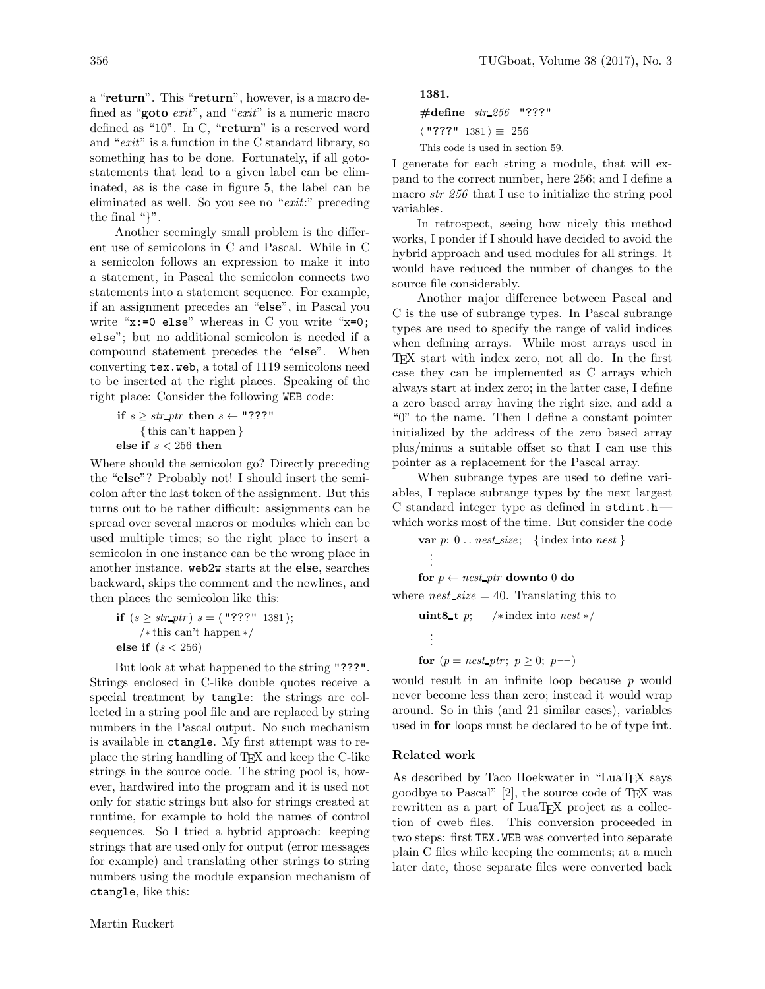a "return". This "return", however, is a macro defined as "goto exit", and "exit" is a numeric macro defined as "10". In C, "return" is a reserved word and "exit" is a function in the C standard library, so something has to be done. Fortunately, if all gotostatements that lead to a given label can be eliminated, as is the case in figure 5, the label can be eliminated as well. So you see no "exit:" preceding the final "}".

Another seemingly small problem is the different use of semicolons in C and Pascal. While in C a semicolon follows an expression to make it into a statement, in Pascal the semicolon connects two statements into a statement sequence. For example, if an assignment precedes an "else", in Pascal you write "x:=0 else" whereas in C you write "x=0; else"; but no additional semicolon is needed if a compound statement precedes the "else". When converting tex.web, a total of 1119 semicolons need to be inserted at the right places. Speaking of the right place: Consider the following WEB code:

if  $s \geq str\_ptr$  then  $s \leftarrow$  "???" { this can't happen } else if  $\sqrt{s} < 256$  then

Where should the semicolon go? Directly preceding the "else"? Probably not! I should insert the semicolon after the last token of the assignment. But this turns out to be rather difficult: assignments can be spread over several macros or modules which can be used multiple times; so the right place to insert a semicolon in one instance can be the wrong place in another instance. web2w starts at the else, searches backward, skips the comment and the newlines, and then places the semicolon like this:

$$
\text{if } (s \ge \text{str\_ptr}) \ s = \langle \text{ "???" } 1381 \rangle;
$$
\n
$$
\text{/* this can't happen */}
$$
\n
$$
\text{else if } (s < 256)
$$

But look at what happened to the string "???". Strings enclosed in C-like double quotes receive a special treatment by tangle: the strings are collected in a string pool file and are replaced by string numbers in the Pascal output. No such mechanism is available in ctangle. My first attempt was to replace the string handling of TEX and keep the C-like strings in the source code. The string pool is, however, hardwired into the program and it is used not only for static strings but also for strings created at runtime, for example to hold the names of control sequences. So I tried a hybrid approach: keeping strings that are used only for output (error messages for example) and translating other strings to string numbers using the module expansion mechanism of ctangle, like this:

1381.

 $\#$ define  $str_256$  "???"

 $\langle$  "???" 1381  $\rangle \equiv 256$ 

This code is used in section 59.

I generate for each string a module, that will expand to the correct number, here 256; and I define a macro  $str_{-}256$  that I use to initialize the string pool variables.

In retrospect, seeing how nicely this method works, I ponder if I should have decided to avoid the hybrid approach and used modules for all strings. It would have reduced the number of changes to the source file considerably.

Another major difference between Pascal and C is the use of subrange types. In Pascal subrange types are used to specify the range of valid indices when defining arrays. While most arrays used in TEX start with index zero, not all do. In the first case they can be implemented as C arrays which always start at index zero; in the latter case, I define a zero based array having the right size, and add a "0" to the name. Then I define a constant pointer initialized by the address of the zero based array plus/minus a suitable offset so that I can use this pointer as a replacement for the Pascal array.

When subrange types are used to define variables, I replace subrange types by the next largest C standard integer type as defined in  ${\tt stdint.h}$ which works most of the time. But consider the code

var  $p: 0$ ... nest size; {index into nest} . . . for  $p \leftarrow nest\_ptr$  downto 0 do where  $nest\_size = 40$ . Translating this to uint8\_t p;  $/*$  index into nest  $*/$ . . .

for  $(p = nest\_ptr; p \ge 0; p--)$ 

would result in an infinite loop because  $p$  would never become less than zero; instead it would wrap around. So in this (and 21 similar cases), variables used in **for** loops must be declared to be of type **int**.

## Related work

As described by Taco Hoekwater in "LuaT<sub>EX</sub> says goodbye to Pascal" [2], the source code of TEX was rewritten as a part of LuaT<sub>EX</sub> project as a collection of cweb files. This conversion proceeded in two steps: first TEX.WEB was converted into separate plain C files while keeping the comments; at a much later date, those separate files were converted back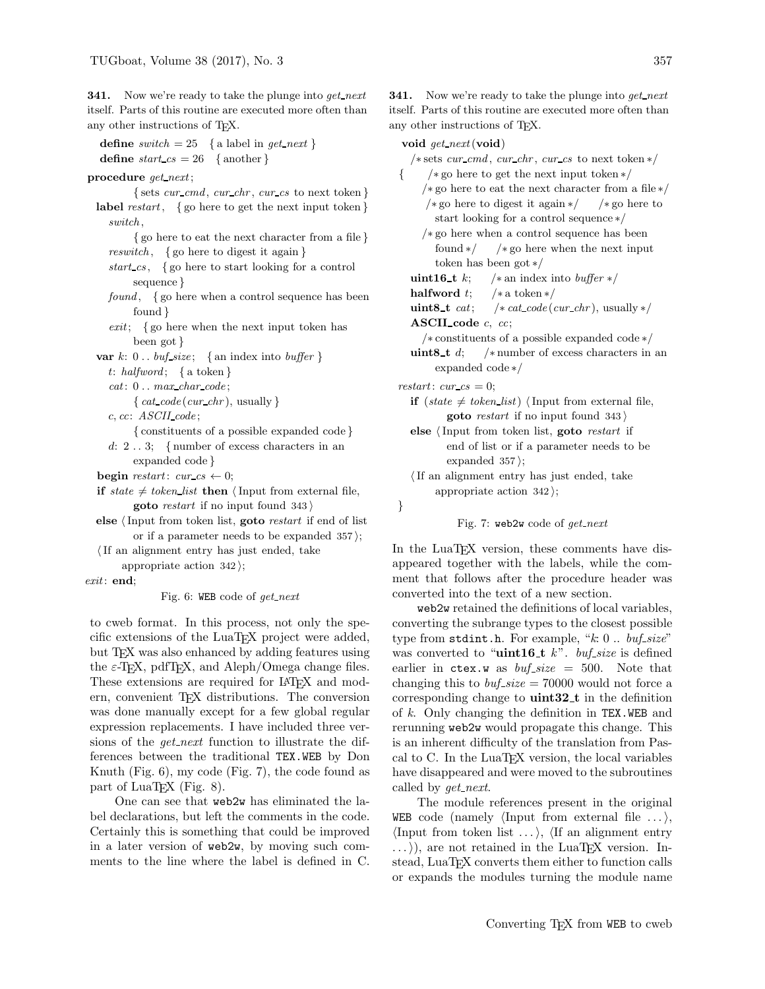**341.** Now we're ready to take the plunge into  $get\_next$ itself. Parts of this routine are executed more often than any other instructions of TEX.

```
define switch = 25 { a label in get_next }
define start\_cs = 26 {another}
```
#### procedure get\_next;

 $\{ sets \, cur\_cmd, \,cur\_chr, \,cur\_cs \, to \, next \, token \}$ label restart, { go here to get the next input token } switch , { go here to eat the next character from a file } reswitch, { go here to digest it again } start  $cs$ , { go here to start looking for a control sequence } found,  $\{$  go here when a control sequence has been found }  $exit; \{ go here when the next input token has$ been got } var  $k: 0...$  buf\_size; { an index into buffer } t: halfword; { a token }  $cat: 0... max\_char\_code;$ { $cat\_code$  ( $cur\_chr$ ), usually } c, cc: ASCII code ; { constituents of a possible expanded code } d: 2 . . 3; { number of excess characters in an expanded code } begin restart: cur cs  $\leftarrow 0$ ; if state  $\neq$  token list then  $\langle$  Input from external file, goto restart if no input found  $343$ 

else  $\langle$  Input from token list, goto *restart* if end of list or if a parameter needs to be expanded  $357$ ;

 $\langle$  If an alignment entry has just ended, take appropriate action  $342$ ;

exit: end;

Fig. 6: WEB code of  $qet{\text -}next$ 

to cweb format. In this process, not only the specific extensions of the LuaTEX project were added, but T<sub>EX</sub> was also enhanced by adding features using the  $\varepsilon$ -T<sub>E</sub>X, pdfT<sub>E</sub>X, and Aleph/Omega change files. These extensions are required for LATEX and modern, convenient TEX distributions. The conversion was done manually except for a few global regular expression replacements. I have included three versions of the  $get.next$  function to illustrate the differences between the traditional TEX.WEB by Don Knuth (Fig. 6), my code (Fig. 7), the code found as part of LuaT<sub>EX</sub> (Fig. 8).

One can see that web2w has eliminated the label declarations, but left the comments in the code. Certainly this is something that could be improved in a later version of web2w, by moving such comments to the line where the label is defined in C. **341.** Now we're ready to take the plunge into get next itself. Parts of this routine are executed more often than any other instructions of TEX.

#### void get\_next (void)

/\* sets cur\_cmd, cur\_chr, cur\_cs to next token  $*/$ { /∗ go here to get the next input token ∗/ /\* go here to eat the next character from a file \*/<br>/\* go here to digest it again \*/  $\rightarrow$  \* go here to / $*$  go here to digest it again  $*/$ start looking for a control sequence ∗/ /\* go here when a control sequence has been<br>found  $*/$  /\* go here when the next inpu  $/* go here when the next input$ token has been got  $*/$ <br>uint16\_t  $k$ ; /\* an index uint16\_t k; /\* an index into buffer \*/<br>halfword t; /\* a token \*/ **halfword** t;  $/*$  a token  $*/$ <br>**uint8\_t** *cat*;  $/*$  *cat\_code*(*e*  $/* cat\_code (cur\_chr),$  usually  $*/$ ASCII code  $c, cc;$ /\* constituents of a possible expanded code \*/<br> $\text{uint8\_t } d:$  /\* number of excess characters in  $/*$  number of excess characters in an expanded code ∗/ restart:  $cur\_cs = 0$ ; if  $(state \neq token_list)$  (Input from external file, goto *restart* if no input found  $343$ else (Input from token list, goto restart if end of list or if a parameter needs to be expanded  $357$ ;  $\langle$  If an alignment entry has just ended, take appropriate action  $342$ ; } Fig. 7: web2w code of  $get\_next$ 

In the LuaT<sub>EX</sub> version, these comments have disappeared together with the labels, while the comment that follows after the procedure header was converted into the text of a new section.

web2w retained the definitions of local variables, converting the subrange types to the closest possible type from stdint.h. For example, " $k: 0$ ..  $buf\_size$ " was converted to " $\text{uint16}_t$  k". buf-size is defined earlier in ctex.w as  $buf\_size = 500$ . Note that changing this to  $buf\_size = 70000$  would not force a corresponding change to  $uint32_t$  in the definition of  $k$ . Only changing the definition in TEX.WEB and rerunning web2w would propagate this change. This is an inherent difficulty of the translation from Pascal to C. In the LuaTEX version, the local variables have disappeared and were moved to the subroutines called by *get\_next*.

The module references present in the original WEB code (namely  $\langle \text{Input from external file} \dots \rangle$ ,  $\langle \text{Input from token list} \dots \rangle$ ,  $\langle \text{If an alignment entry} \rangle$  $\ldots$ ), are not retained in the LuaT<sub>EX</sub> version. Instead, LuaT<sub>EX</sub> converts them either to function calls or expands the modules turning the module name